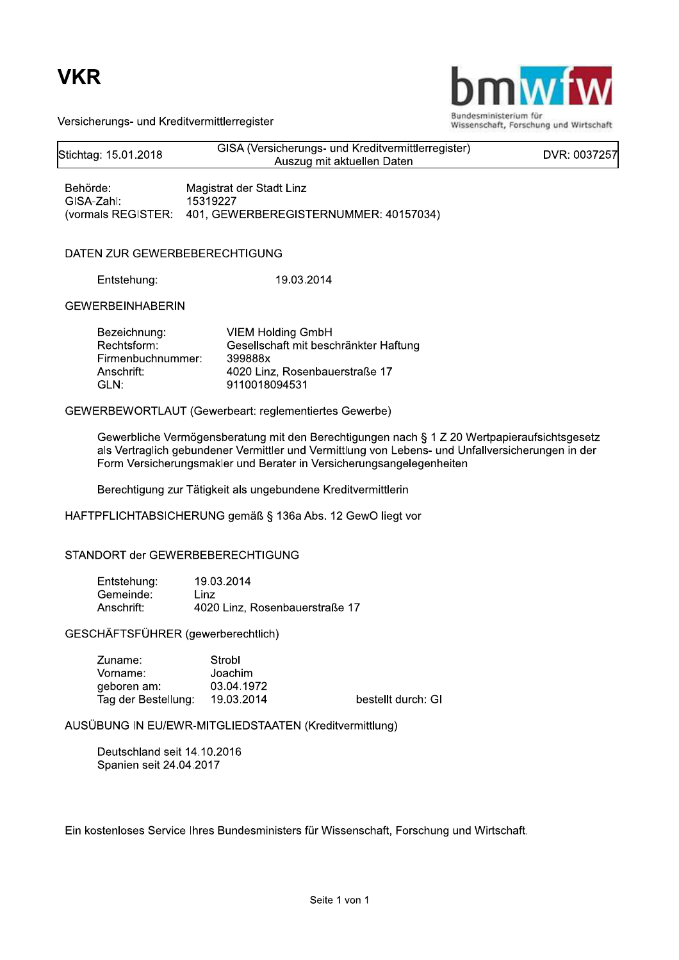### **VKR**



Wissenschaft, Forschung und Wirtschaft

Versicherungs- und Kreditvermittlerregister

| Stichtag: 15.01.2018                                                   | GISA (Versicherungs- und Kreditvermittlerregister)<br>Auszug mit aktuellen Daten                                                | DVR: 0037257 |
|------------------------------------------------------------------------|---------------------------------------------------------------------------------------------------------------------------------|--------------|
| Behörde:<br>GISA-Zahl:<br>(vormals REGISTER:                           | Magistrat der Stadt Linz<br>15319227<br>401, GEWERBEREGISTERNUMMER: 40157034)                                                   |              |
| DATEN ZUR GEWERBEBERECHTIGUNG                                          |                                                                                                                                 |              |
| Entstehung:                                                            | 19.03.2014                                                                                                                      |              |
| <b>GEWERBEINHABERIN</b>                                                |                                                                                                                                 |              |
| Bezeichnung:<br>Rechtsform:<br>Firmenbuchnummer:<br>Anschrift:<br>GLN: | <b>VIEM Holding GmbH</b><br>Gesellschaft mit beschränkter Haftung<br>399888x<br>4020 Linz, Rosenbauerstraße 17<br>9110018094531 |              |
|                                                                        | GEWERBEWORTLAUT (Gewerbeart: reglementiertes Gewerbe)                                                                           |              |

Gewerbliche Vermögensberatung mit den Berechtigungen nach § 1 Z 20 Wertpapieraufsichtsgesetz als Vertraglich gebundener Vermittler und Vermittlung von Lebens- und Unfallversicherungen in der Form Versicherungsmakler und Berater in Versicherungsangelegenheiten

Berechtigung zur Tätigkeit als ungebundene Kreditvermittlerin

HAFTPFLICHTABSICHERUNG gemäß § 136a Abs. 12 GewO liegt vor

### STANDORT der GEWERBEBERECHTIGUNG

| Entstehung: | 19.03.2014                     |
|-------------|--------------------------------|
| Gemeinde:   | l inz                          |
| Anschrift:  | 4020 Linz, Rosenbauerstraße 17 |

GESCHÄFTSFÜHRER (gewerberechtlich)

| Zuname:             | Strobl     |
|---------------------|------------|
| Vorname:            | Joachim    |
| geboren am:         | 03.04.1972 |
| Tag der Bestellung: | 19.03.2014 |

bestellt durch: GI

AUSÜBUNG IN EU/EWR-MITGLIEDSTAATEN (Kreditvermittlung)

Deutschland seit 14.10.2016 Spanien seit 24.04.2017

Ein kostenloses Service Ihres Bundesministers für Wissenschaft, Forschung und Wirtschaft.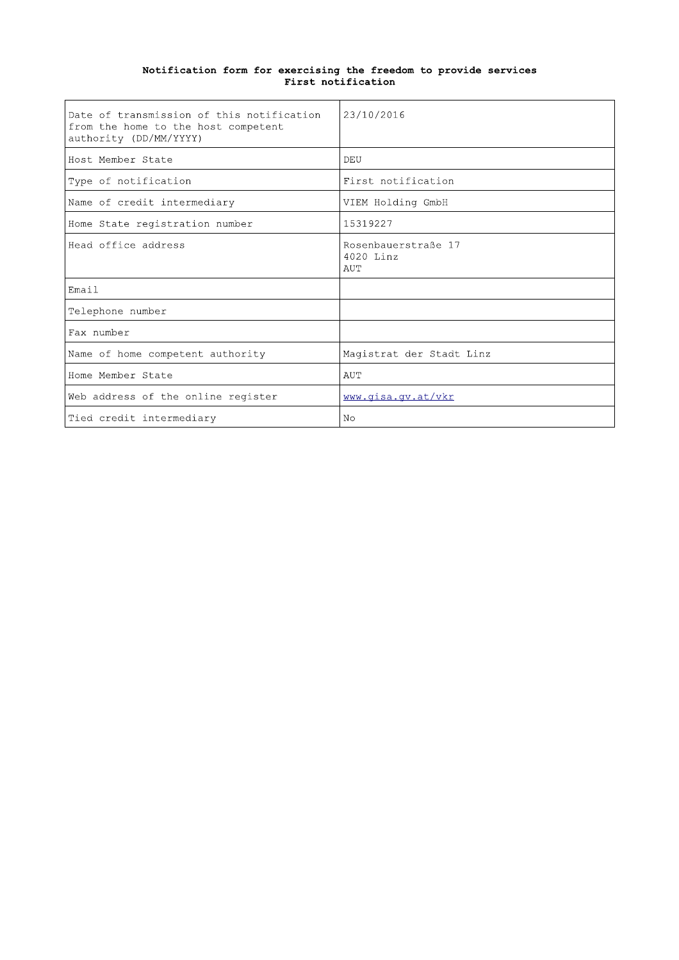| Date of transmission of this notification<br>from the home to the host competent<br>authority (DD/MM/YYYY) | 23/10/2016                              |
|------------------------------------------------------------------------------------------------------------|-----------------------------------------|
| Host Member State                                                                                          | DEU                                     |
| Type of notification                                                                                       | First notification                      |
| Name of credit intermediary                                                                                | VIEM Holding GmbH                       |
| Home State registration number                                                                             | 15319227                                |
| Head office address                                                                                        | Rosenbauerstraße 17<br>4020 Linz<br>AUT |
| Email                                                                                                      |                                         |
| Telephone number                                                                                           |                                         |
| Fax number                                                                                                 |                                         |
| Name of home competent authority                                                                           | Magistrat der Stadt Linz                |
| Home Member State                                                                                          | AUT                                     |
| Web address of the online register                                                                         | www.qisa.qv.at/vkr                      |
| Tied credit intermediary                                                                                   | N <sub>O</sub>                          |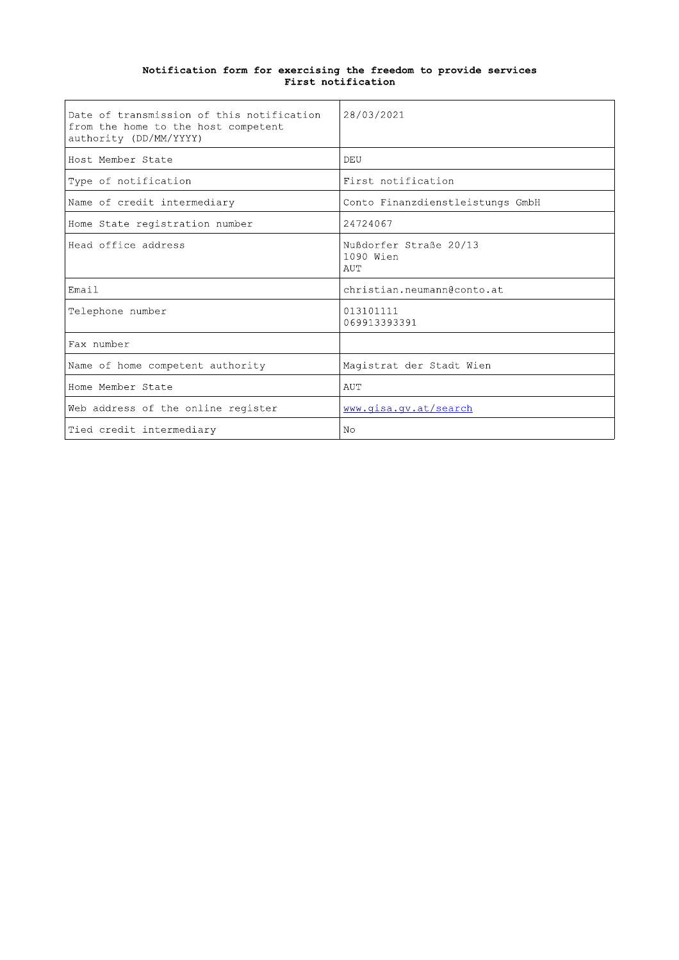| Date of transmission of this notification<br>from the home to the host competent<br>authority (DD/MM/YYYY) | 28/03/2021                                 |
|------------------------------------------------------------------------------------------------------------|--------------------------------------------|
| Host Member State                                                                                          | DEU                                        |
| Type of notification                                                                                       | First notification                         |
| Name of credit intermediary                                                                                | Conto Finanzdienstleistungs GmbH           |
| Home State registration number                                                                             | 24724067                                   |
| Head office address                                                                                        | Nußdorfer Straße 20/13<br>1090 Wien<br>AUT |
| Email                                                                                                      | christian.neumann@conto.at                 |
| Telephone number                                                                                           | 013101111<br>069913393391                  |
| Fax number                                                                                                 |                                            |
| Name of home competent authority                                                                           | Magistrat der Stadt Wien                   |
| Home Member State                                                                                          | AUT                                        |
| Web address of the online register                                                                         | www.gisa.gv.at/search                      |
| Tied credit intermediary                                                                                   | N <sub>O</sub>                             |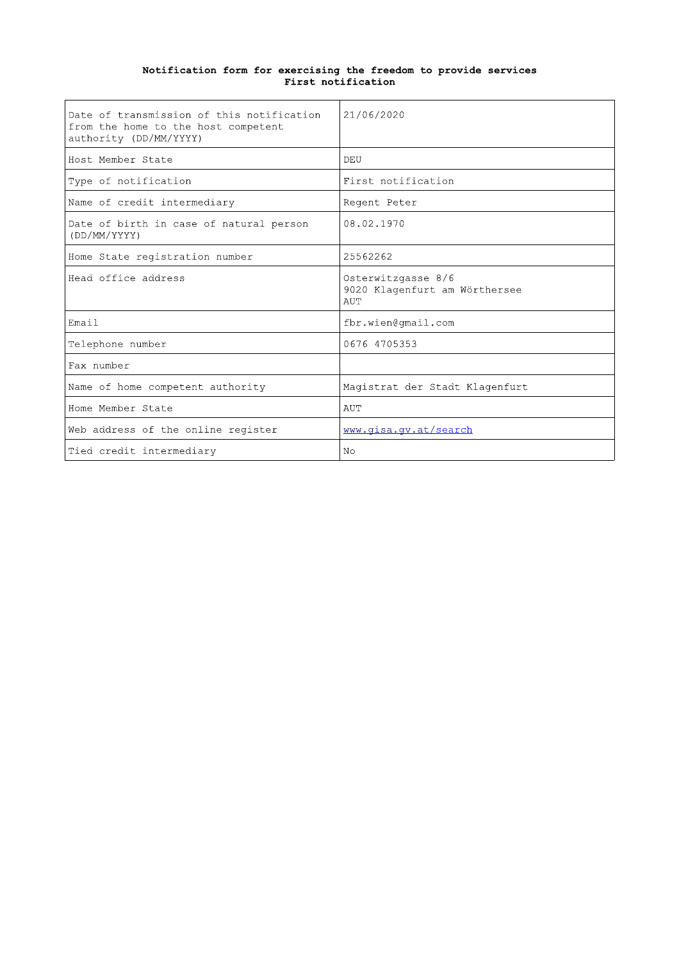| Date of transmission of this notification<br>from the home to the host competent<br>authority (DD/MM/YYYY) | 21/06/2020                                                 |
|------------------------------------------------------------------------------------------------------------|------------------------------------------------------------|
| Host Member State                                                                                          | DEU                                                        |
| Type of notification                                                                                       | First notification                                         |
| Name of credit intermediary                                                                                | Regent Peter                                               |
| Date of birth in case of natural person<br>(DD/MM/YYYY)                                                    | 08.02.1970                                                 |
| Home State registration number                                                                             | 25562262                                                   |
| Head office address                                                                                        | Osterwitzgasse 8/6<br>9020 Klagenfurt am Wörthersee<br>AUT |
| Email                                                                                                      | fbr.wien@qmail.com                                         |
| Telephone number                                                                                           | 0676 4705353                                               |
| Fax number                                                                                                 |                                                            |
| Name of home competent authority                                                                           | Magistrat der Stadt Klagenfurt                             |
| Home Member State                                                                                          | AUT                                                        |
| Web address of the online register                                                                         | www.qisa.gv.at/search                                      |
| Tied credit intermediary                                                                                   | N <sub>O</sub>                                             |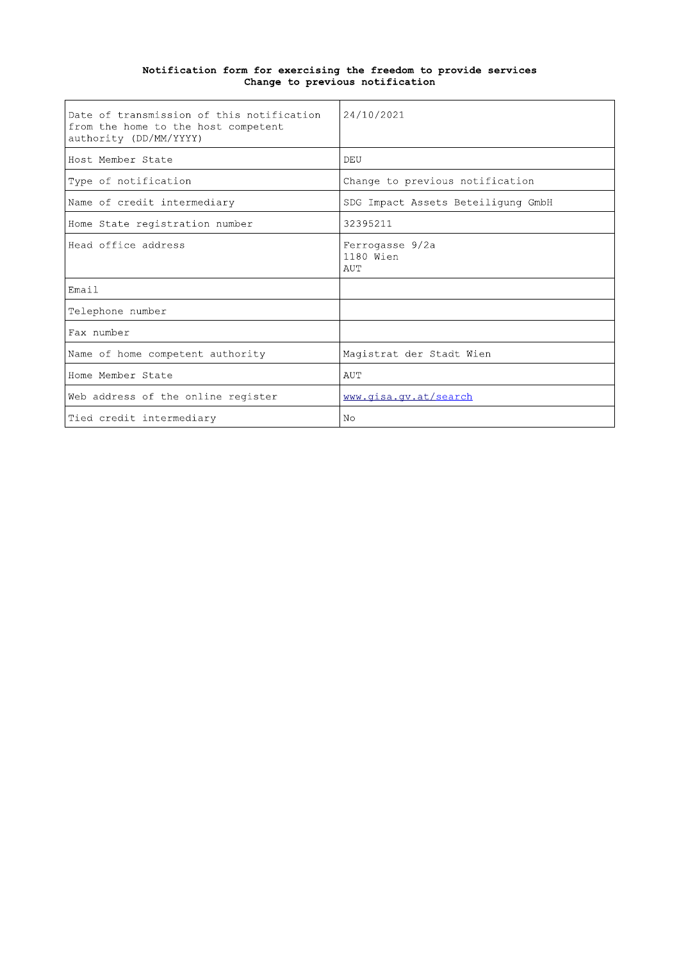# Notification form for exercising the freedom to provide services<br>Change to previous notification

| Date of transmission of this notification<br>from the home to the host competent<br>authority (DD/MM/YYYY) | 24/10/2021                          |
|------------------------------------------------------------------------------------------------------------|-------------------------------------|
| Host Member State                                                                                          | DEU                                 |
| Type of notification                                                                                       | Change to previous notification     |
| Name of credit intermediary                                                                                | SDG Impact Assets Beteiligung GmbH  |
| Home State registration number                                                                             | 32395211                            |
| Head office address                                                                                        | Ferrogasse 9/2a<br>1180 Wien<br>AUT |
| Email                                                                                                      |                                     |
| Telephone number                                                                                           |                                     |
| Fax number                                                                                                 |                                     |
| Name of home competent authority                                                                           | Magistrat der Stadt Wien            |
| Home Member State                                                                                          | AUT                                 |
| Web address of the online register                                                                         | www.qisa.qv.at/search               |
| Tied credit intermediary                                                                                   | N <sub>O</sub>                      |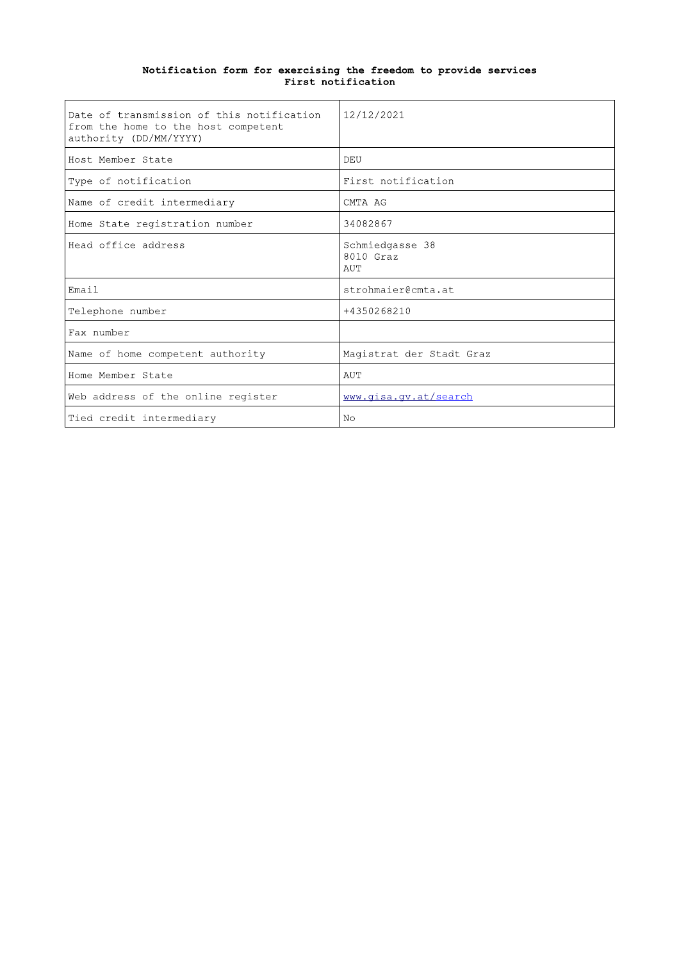| Date of transmission of this notification<br>from the home to the host competent<br>authority (DD/MM/YYYY) | 12/12/2021                          |
|------------------------------------------------------------------------------------------------------------|-------------------------------------|
| Host Member State                                                                                          | DEU                                 |
| Type of notification                                                                                       | First notification                  |
| Name of credit intermediary                                                                                | CMTA AG                             |
| Home State registration number                                                                             | 34082867                            |
| Head office address                                                                                        | Schmiedgasse 38<br>8010 Graz<br>AUT |
| Email                                                                                                      | strohmaier@cmta.at                  |
| Telephone number                                                                                           | +4350268210                         |
| Fax number                                                                                                 |                                     |
| Name of home competent authority                                                                           | Magistrat der Stadt Graz            |
| Home Member State                                                                                          | AUT                                 |
| Web address of the online register                                                                         | www.qisa.qv.at/search               |
| Tied credit intermediary                                                                                   | N <sub>O</sub>                      |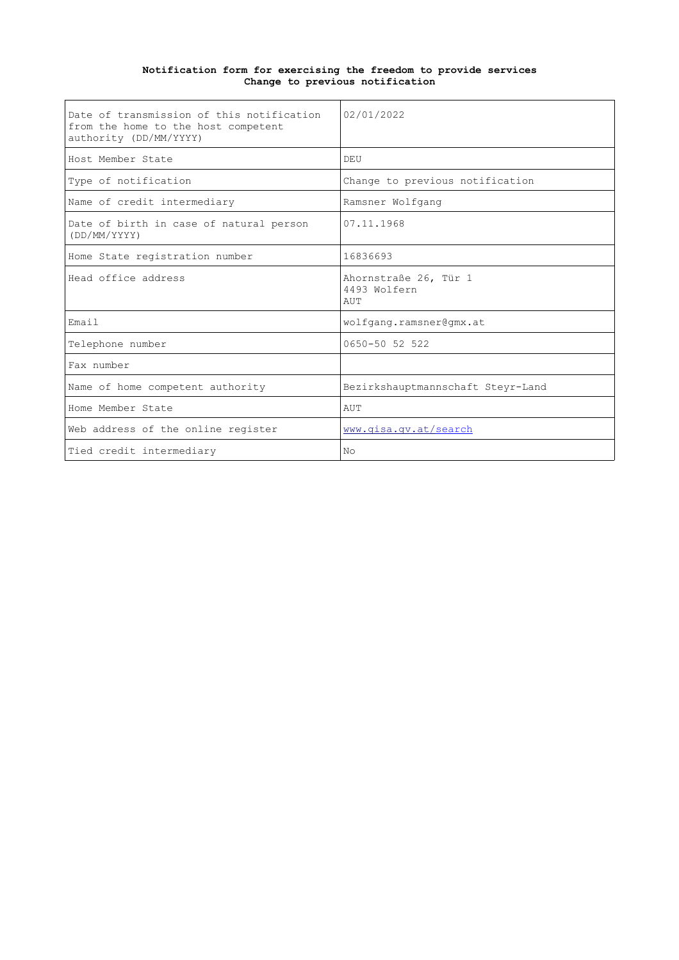#### **Notification form for exercising the freedom to provide services Change to previous notification**

| Date of transmission of this notification<br>from the home to the host competent<br>authority (DD/MM/YYYY) | 02/01/2022                                   |
|------------------------------------------------------------------------------------------------------------|----------------------------------------------|
| Host Member State                                                                                          | DEU                                          |
| Type of notification                                                                                       | Change to previous notification              |
| Name of credit intermediary                                                                                | Ramsner Wolfgang                             |
| Date of birth in case of natural person<br>(DD/MM/YYYY)                                                    | 07.11.1968                                   |
| Home State registration number                                                                             | 16836693                                     |
| Head office address                                                                                        | Ahornstraße 26, Tür 1<br>4493 Wolfern<br>AUT |
| Email                                                                                                      | wolfgang.ramsner@gmx.at                      |
| Telephone number                                                                                           | 0650-50 52 522                               |
| Fax number                                                                                                 |                                              |
| Name of home competent authority                                                                           | Bezirkshauptmannschaft Steyr-Land            |
| Home Member State                                                                                          | AUT                                          |
| Web address of the online register                                                                         | www.gisa.gv.at/search                        |
| Tied credit intermediary                                                                                   | N <sub>O</sub>                               |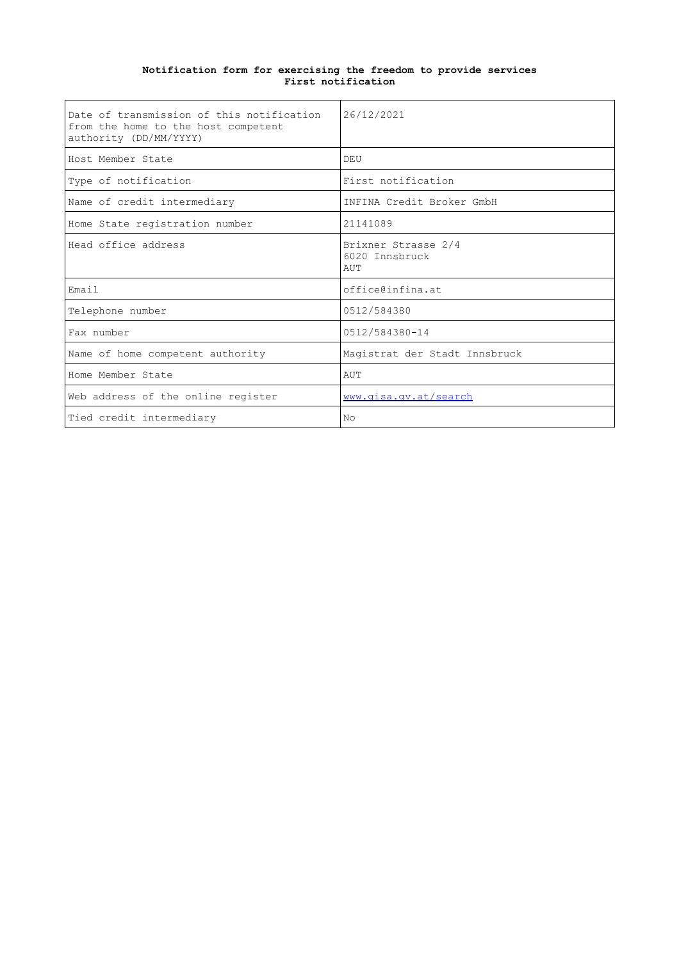| Date of transmission of this notification<br>from the home to the host competent<br>authority (DD/MM/YYYY) | 26/12/2021                                   |
|------------------------------------------------------------------------------------------------------------|----------------------------------------------|
| Host Member State                                                                                          | DEU                                          |
| Type of notification                                                                                       | First notification                           |
| Name of credit intermediary                                                                                | INFINA Credit Broker GmbH                    |
| Home State registration number                                                                             | 21141089                                     |
| Head office address                                                                                        | Brixner Strasse 2/4<br>6020 Innsbruck<br>AUT |
| Email                                                                                                      | office@infina.at                             |
| Telephone number                                                                                           | 0512/584380                                  |
| Fax number                                                                                                 | 0512/584380-14                               |
| Name of home competent authority                                                                           | Magistrat der Stadt Innsbruck                |
| Home Member State                                                                                          | AUT                                          |
| Web address of the online register                                                                         | www.qisa.qv.at/search                        |
| Tied credit intermediary                                                                                   | N <sub>O</sub>                               |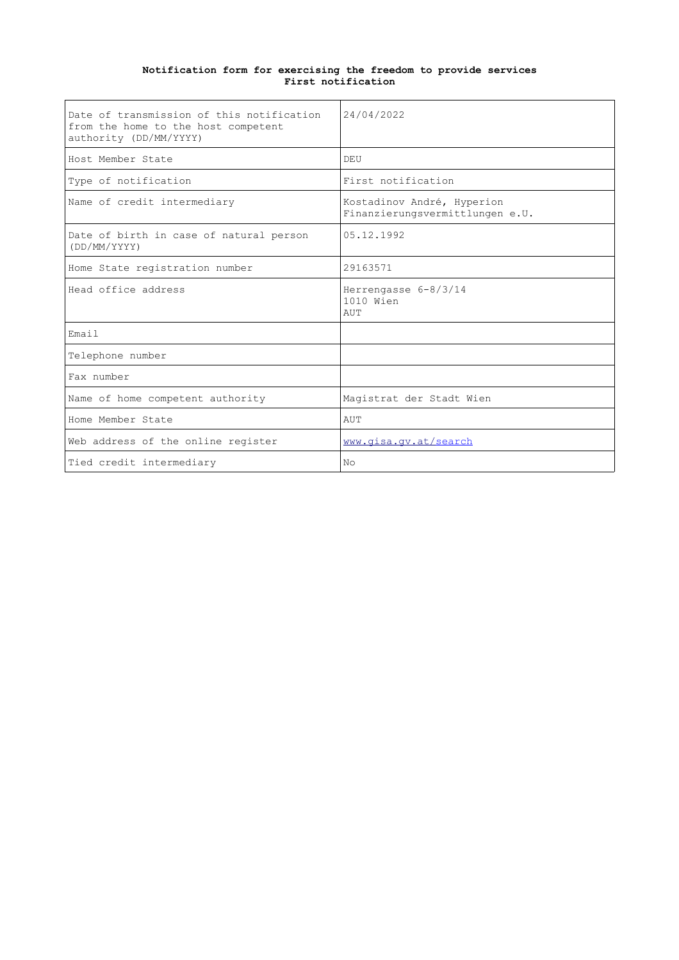| Date of transmission of this notification<br>from the home to the host competent<br>authority (DD/MM/YYYY) | 24/04/2022                                                    |
|------------------------------------------------------------------------------------------------------------|---------------------------------------------------------------|
| Host Member State                                                                                          | DEU                                                           |
| Type of notification                                                                                       | First notification                                            |
| Name of credit intermediary                                                                                | Kostadinov André, Hyperion<br>Finanzierungsvermittlungen e.U. |
| Date of birth in case of natural person<br>(DD/MM/YYYY)                                                    | 05.12.1992                                                    |
| Home State registration number                                                                             | 29163571                                                      |
| Head office address                                                                                        | Herrengasse 6-8/3/14<br>1010 Wien<br>AUT                      |
| Email                                                                                                      |                                                               |
| Telephone number                                                                                           |                                                               |
| Fax number                                                                                                 |                                                               |
| Name of home competent authority                                                                           | Magistrat der Stadt Wien                                      |
| Home Member State                                                                                          | AUT                                                           |
| Web address of the online register                                                                         | www.qisa.qv.at/search                                         |
| Tied credit intermediary                                                                                   | No                                                            |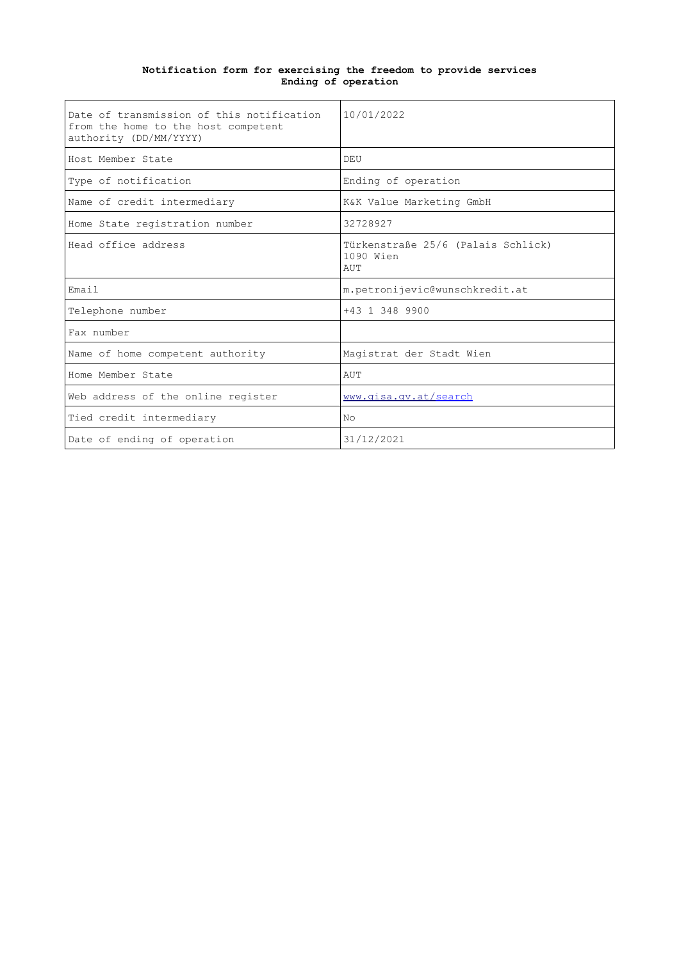#### **Notification form for exercising the freedom to provide services Ending of operation**

| Date of transmission of this notification<br>from the home to the host competent<br>authority (DD/MM/YYYY) | 10/01/2022                                             |
|------------------------------------------------------------------------------------------------------------|--------------------------------------------------------|
| Host Member State                                                                                          | DEU                                                    |
| Type of notification                                                                                       | Ending of operation                                    |
| Name of credit intermediary                                                                                | K&K Value Marketing GmbH                               |
| Home State registration number                                                                             | 32728927                                               |
| Head office address                                                                                        | Türkenstraße 25/6 (Palais Schlick)<br>1090 Wien<br>AUT |
| Email                                                                                                      | m.petronijevic@wunschkredit.at                         |
| Telephone number                                                                                           | +43 1 348 9900                                         |
| Fax number                                                                                                 |                                                        |
| Name of home competent authority                                                                           | Magistrat der Stadt Wien                               |
| Home Member State                                                                                          | AUT                                                    |
| Web address of the online register                                                                         | www.gisa.gv.at/search                                  |
| Tied credit intermediary                                                                                   | No                                                     |
| Date of ending of operation                                                                                | 31/12/2021                                             |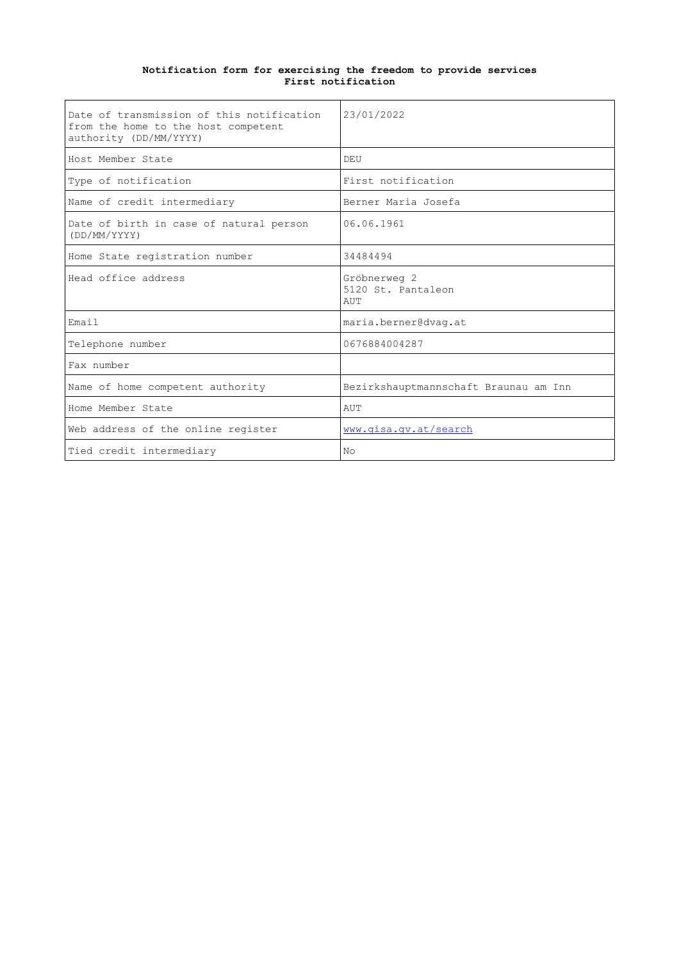| Date of transmission of this notification<br>from the home to the host competent<br>authority (DD/MM/YYYY) | 23/01/2022                                |
|------------------------------------------------------------------------------------------------------------|-------------------------------------------|
| Host Member State                                                                                          | DEU                                       |
| Type of notification                                                                                       | First notification                        |
| Name of credit intermediary                                                                                | Berner Maria Josefa                       |
| Date of birth in case of natural person<br>(DD/MM/YYYY)                                                    | 06.06.1961                                |
| Home State registration number                                                                             | 34484494                                  |
| Head office address                                                                                        | Gröbnerweg 2<br>5120 St. Pantaleon<br>AUT |
| Email                                                                                                      | maria.berner@dvaq.at                      |
| Telephone number                                                                                           | 0676884004287                             |
| Fax number                                                                                                 |                                           |
| Name of home competent authority                                                                           | Bezirkshauptmannschaft Braunau am Inn     |
| Home Member State                                                                                          | AUT                                       |
| Web address of the online register                                                                         | www.qisa.qv.at/search                     |
| Tied credit intermediary                                                                                   | No                                        |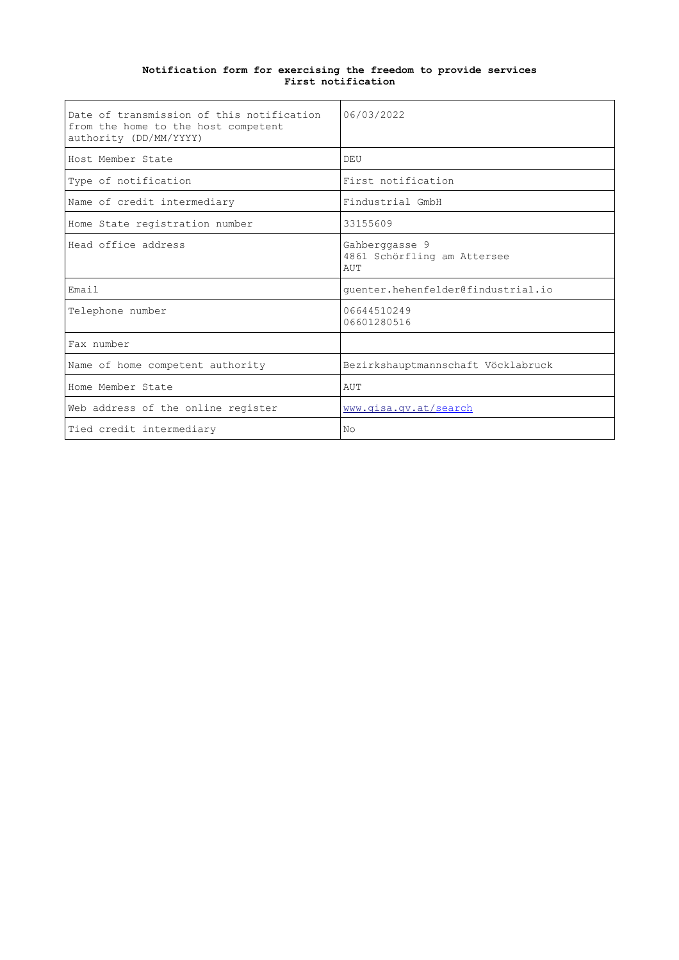| Date of transmission of this notification<br>from the home to the host competent<br>authority (DD/MM/YYYY) | 06/03/2022                                           |
|------------------------------------------------------------------------------------------------------------|------------------------------------------------------|
| Host Member State                                                                                          | DEU                                                  |
| Type of notification                                                                                       | First notification                                   |
| Name of credit intermediary                                                                                | Findustrial GmbH                                     |
| Home State registration number                                                                             | 33155609                                             |
| Head office address                                                                                        | Gahberggasse 9<br>4861 Schörfling am Attersee<br>AUT |
| Email                                                                                                      | quenter.hehenfelder@findustrial.io                   |
| Telephone number                                                                                           | 06644510249<br>06601280516                           |
| Fax number                                                                                                 |                                                      |
| Name of home competent authority                                                                           | Bezirkshauptmannschaft Vöcklabruck                   |
| Home Member State                                                                                          | AUT                                                  |
| Web address of the online register                                                                         | www.qisa.qv.at/search                                |
| Tied credit intermediary                                                                                   | N <sub>O</sub>                                       |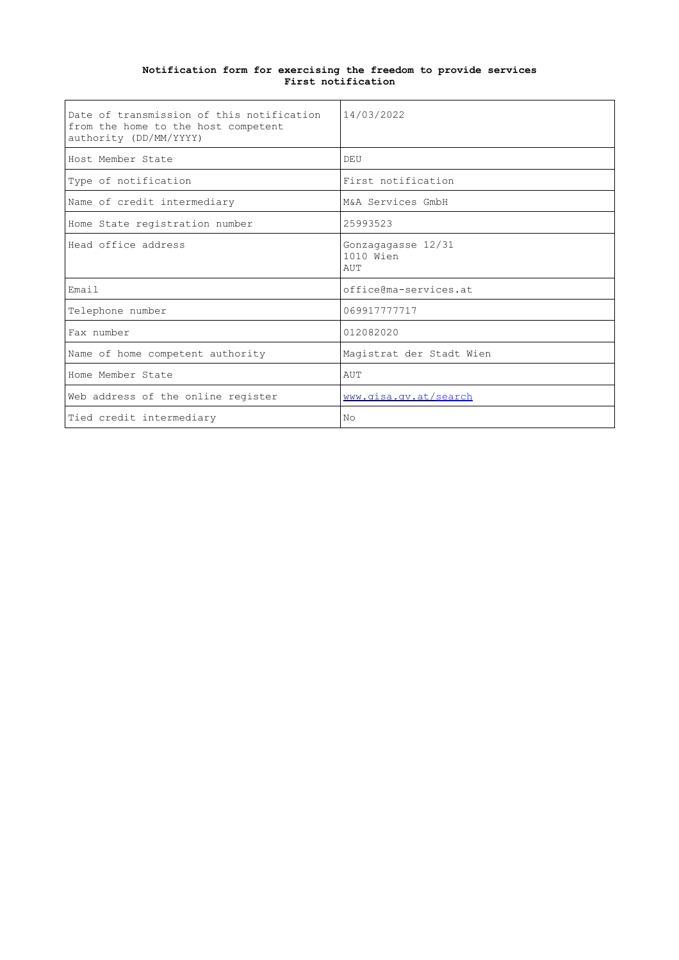| Date of transmission of this notification<br>from the home to the host competent<br>authority (DD/MM/YYYY) | 14/03/2022                             |
|------------------------------------------------------------------------------------------------------------|----------------------------------------|
| Host Member State                                                                                          | DEU                                    |
| Type of notification                                                                                       | First notification                     |
| Name of credit intermediary                                                                                | M&A Services GmbH                      |
| Home State registration number                                                                             | 25993523                               |
| Head office address                                                                                        | Gonzagagasse 12/31<br>1010 Wien<br>AUT |
| Email                                                                                                      | office@ma-services.at                  |
| Telephone number                                                                                           | 069917777717                           |
| Fax number                                                                                                 | 012082020                              |
| Name of home competent authority                                                                           | Magistrat der Stadt Wien               |
| Home Member State                                                                                          | AUT                                    |
| Web address of the online register                                                                         | www.qisa.qv.at/search                  |
| Tied credit intermediary                                                                                   | N <sub>O</sub>                         |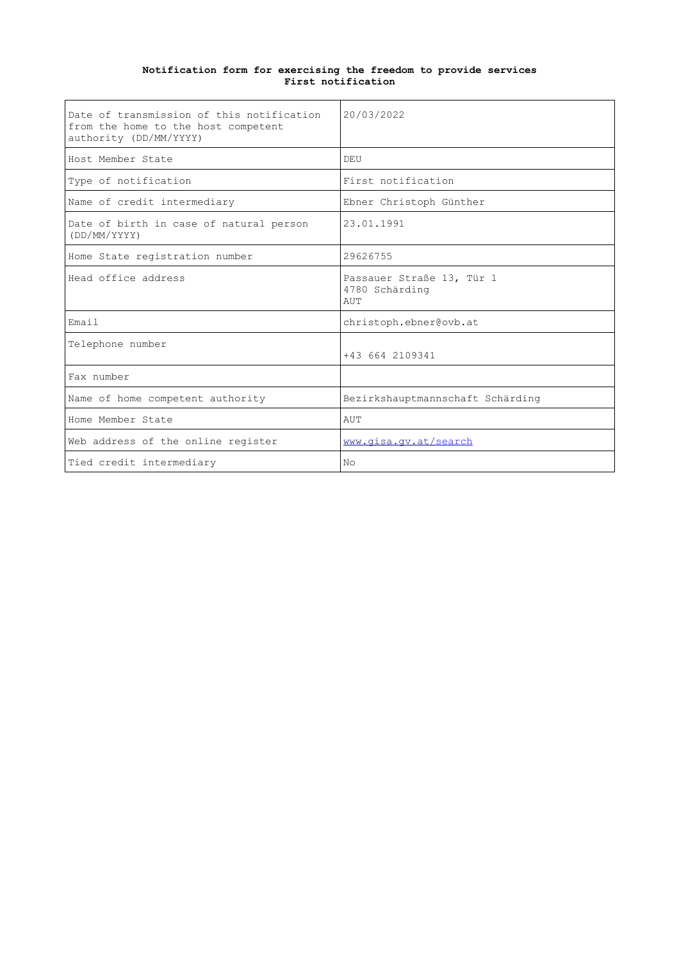| Date of transmission of this notification<br>from the home to the host competent<br>authority (DD/MM/YYYY) | 20/03/2022                                         |
|------------------------------------------------------------------------------------------------------------|----------------------------------------------------|
| Host Member State                                                                                          | DEU                                                |
| Type of notification                                                                                       | First notification                                 |
| Name of credit intermediary                                                                                | Ebner Christoph Günther                            |
| Date of birth in case of natural person<br>(DD/MM/YYYY)                                                    | 23.01.1991                                         |
| Home State registration number                                                                             | 29626755                                           |
| Head office address                                                                                        | Passauer Straße 13, Tür 1<br>4780 Schärding<br>AUT |
| Email                                                                                                      | christoph.ebner@ovb.at                             |
| Telephone number                                                                                           | +43 664 2109341                                    |
| Fax number                                                                                                 |                                                    |
| Name of home competent authority                                                                           | Bezirkshauptmannschaft Schärding                   |
| Home Member State                                                                                          | AUT                                                |
| Web address of the online register                                                                         | www.qisa.qv.at/search                              |
| Tied credit intermediary                                                                                   | N <sub>O</sub>                                     |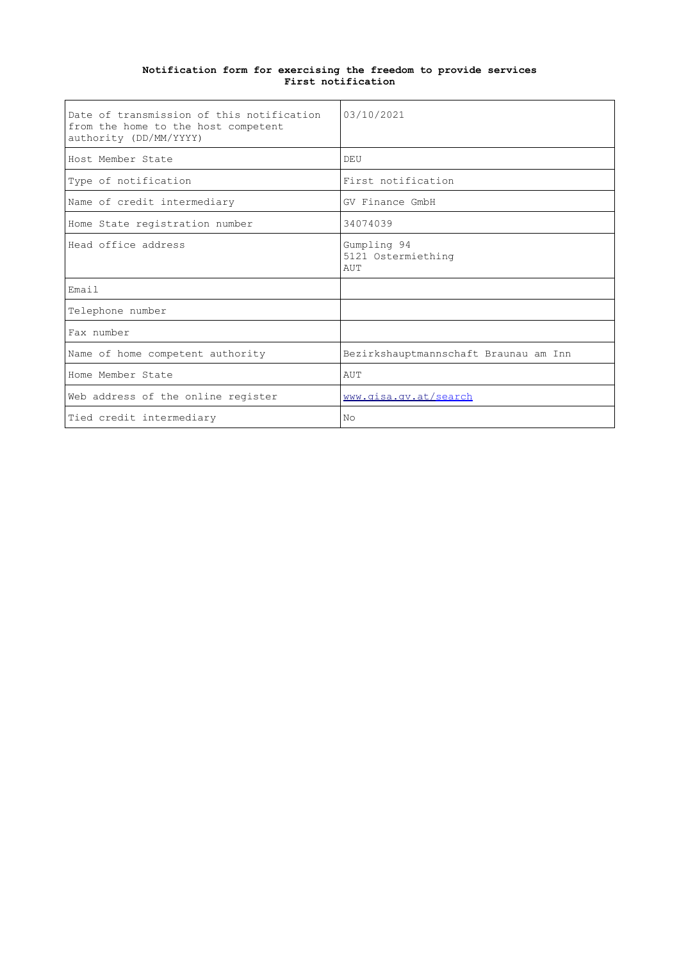| Date of transmission of this notification<br>from the home to the host competent<br>authority (DD/MM/YYYY) | 03/10/2021                               |
|------------------------------------------------------------------------------------------------------------|------------------------------------------|
| Host Member State                                                                                          | DEU                                      |
| Type of notification                                                                                       | First notification                       |
| Name of credit intermediary                                                                                | GV Finance GmbH                          |
| Home State registration number                                                                             | 34074039                                 |
| Head office address                                                                                        | Gumpling 94<br>5121 Ostermiething<br>AUT |
| Email                                                                                                      |                                          |
| Telephone number                                                                                           |                                          |
| Fax number                                                                                                 |                                          |
| Name of home competent authority                                                                           | Bezirkshauptmannschaft Braunau am Inn    |
| Home Member State                                                                                          | AUT                                      |
| Web address of the online register                                                                         | www.gisa.gv.at/search                    |
| Tied credit intermediary                                                                                   | No                                       |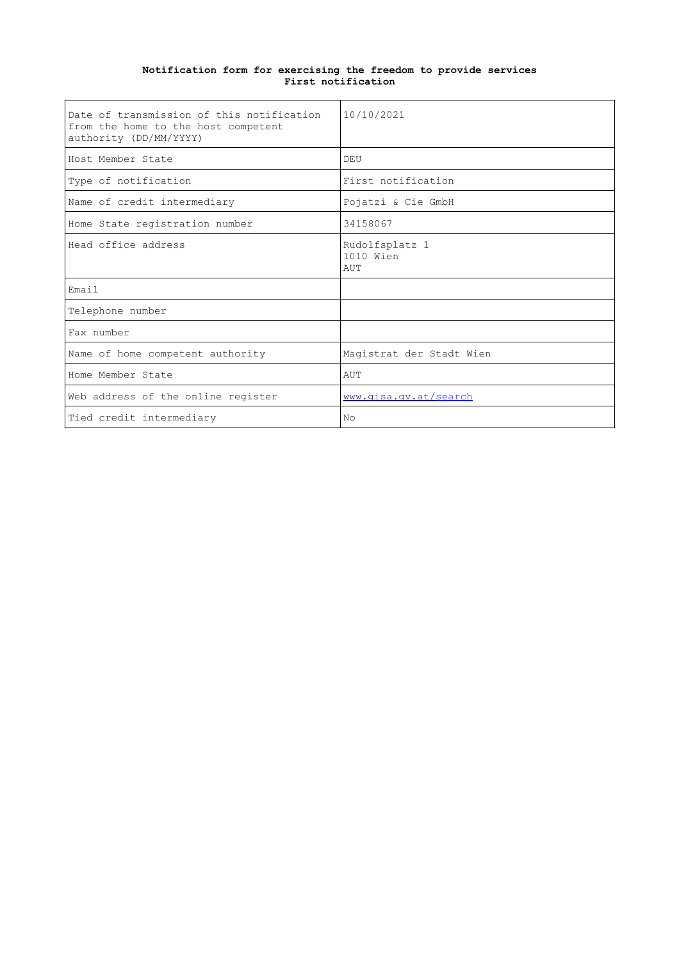| Date of transmission of this notification<br>from the home to the host competent<br>authority (DD/MM/YYYY) | 10/10/2021                         |
|------------------------------------------------------------------------------------------------------------|------------------------------------|
| Host Member State                                                                                          | DEU                                |
| Type of notification                                                                                       | First notification                 |
| Name of credit intermediary                                                                                | Pojatzi & Cie GmbH                 |
| Home State registration number                                                                             | 34158067                           |
| Head office address                                                                                        | Rudolfsplatz 1<br>1010 Wien<br>AUT |
| Email                                                                                                      |                                    |
| Telephone number                                                                                           |                                    |
| Fax number                                                                                                 |                                    |
| Name of home competent authority                                                                           | Magistrat der Stadt Wien           |
| Home Member State                                                                                          | AUT                                |
| Web address of the online register                                                                         | www.qisa.qv.at/search              |
| Tied credit intermediary                                                                                   | No                                 |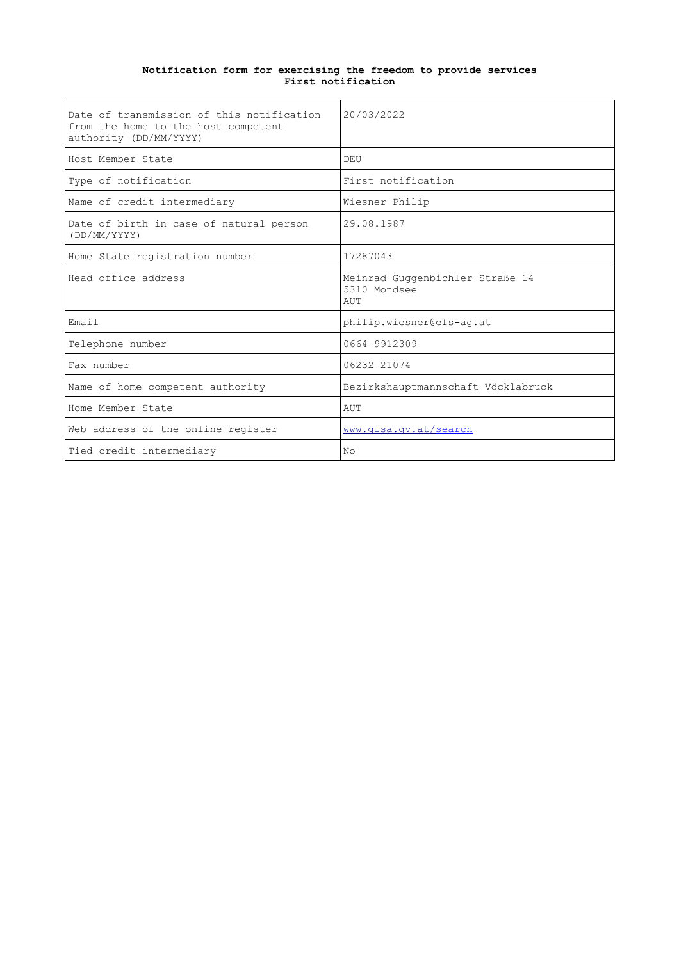| Date of transmission of this notification<br>from the home to the host competent<br>authority (DD/MM/YYYY) | 20/03/2022                                             |
|------------------------------------------------------------------------------------------------------------|--------------------------------------------------------|
| Host Member State                                                                                          | DEU                                                    |
| Type of notification                                                                                       | First notification                                     |
| Name of credit intermediary                                                                                | Wiesner Philip                                         |
| Date of birth in case of natural person<br>(DD/MM/YYYY)                                                    | 29.08.1987                                             |
| Home State registration number                                                                             | 17287043                                               |
| Head office address                                                                                        | Meinrad Guggenbichler-Straße 14<br>5310 Mondsee<br>AUT |
| Email                                                                                                      | philip.wiesner@efs-aq.at                               |
| Telephone number                                                                                           | 0664-9912309                                           |
| Fax number                                                                                                 | 06232-21074                                            |
| Name of home competent authority                                                                           | Bezirkshauptmannschaft Vöcklabruck                     |
| Home Member State                                                                                          | AUT                                                    |
| Web address of the online register                                                                         | www.qisa.qv.at/search                                  |
| Tied credit intermediary                                                                                   | N <sub>O</sub>                                         |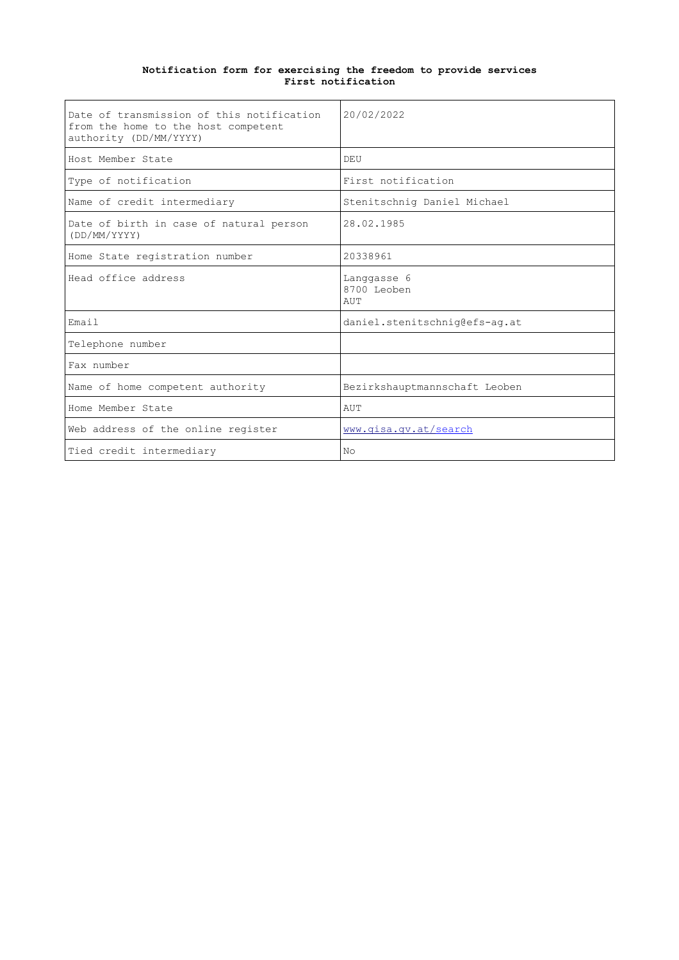| Date of transmission of this notification<br>from the home to the host competent<br>authority (DD/MM/YYYY) | 20/02/2022                        |
|------------------------------------------------------------------------------------------------------------|-----------------------------------|
| Host Member State                                                                                          | DEU                               |
| Type of notification                                                                                       | First notification                |
| Name of credit intermediary                                                                                | Stenitschnig Daniel Michael       |
| Date of birth in case of natural person<br>(DD/MM/YYYY)                                                    | 28.02.1985                        |
| Home State registration number                                                                             | 20338961                          |
| Head office address                                                                                        | Langgasse 6<br>8700 Leoben<br>AUT |
| Email                                                                                                      | daniel.stenitschnig@efs-ag.at     |
| Telephone number                                                                                           |                                   |
| Fax number                                                                                                 |                                   |
| Name of home competent authority                                                                           | Bezirkshauptmannschaft Leoben     |
| Home Member State                                                                                          | AUT                               |
| Web address of the online register                                                                         | www.gisa.gv.at/search             |
| Tied credit intermediary                                                                                   | No                                |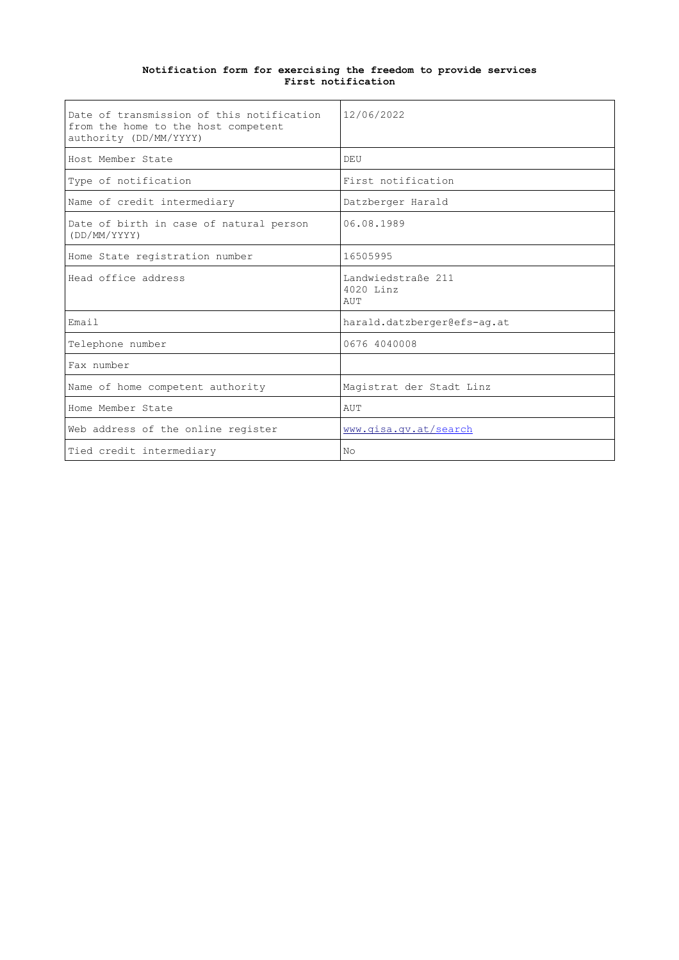| Date of transmission of this notification<br>from the home to the host competent<br>authority (DD/MM/YYYY) | 12/06/2022                             |
|------------------------------------------------------------------------------------------------------------|----------------------------------------|
| Host Member State                                                                                          | DEU                                    |
| Type of notification                                                                                       | First notification                     |
| Name of credit intermediary                                                                                | Datzberger Harald                      |
| Date of birth in case of natural person<br>(DD/MM/YYYY)                                                    | 06.08.1989                             |
| Home State registration number                                                                             | 16505995                               |
| Head office address                                                                                        | Landwiedstraße 211<br>4020 Linz<br>AUT |
| Email                                                                                                      | harald.datzberger@efs-ag.at            |
| Telephone number                                                                                           | 0676 4040008                           |
| Fax number                                                                                                 |                                        |
| Name of home competent authority                                                                           | Magistrat der Stadt Linz               |
| Home Member State                                                                                          | AUT                                    |
| Web address of the online register                                                                         | www.gisa.gv.at/search                  |
| Tied credit intermediary                                                                                   | No                                     |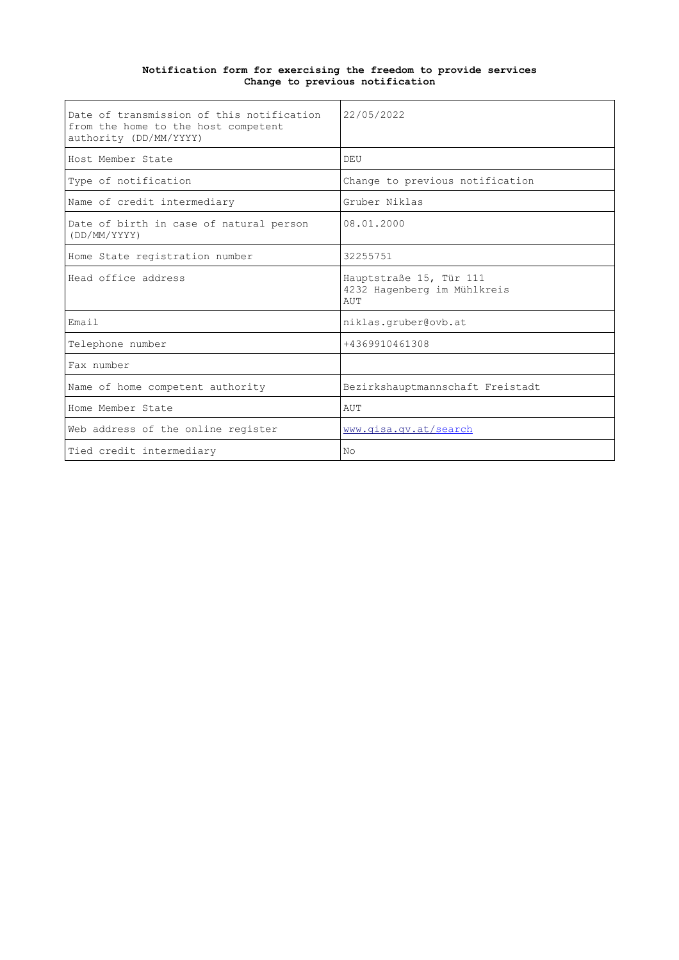#### **Notification form for exercising the freedom to provide services Change to previous notification**

| Date of transmission of this notification<br>from the home to the host competent<br>authority (DD/MM/YYYY) | 22/05/2022                                                    |
|------------------------------------------------------------------------------------------------------------|---------------------------------------------------------------|
| Host Member State                                                                                          | DEU                                                           |
| Type of notification                                                                                       | Change to previous notification                               |
| Name of credit intermediary                                                                                | Gruber Niklas                                                 |
| Date of birth in case of natural person<br>(DD/MM/YYYY)                                                    | 08.01.2000                                                    |
| Home State registration number                                                                             | 32255751                                                      |
| Head office address                                                                                        | Hauptstraße 15, Tür 111<br>4232 Hagenberg im Mühlkreis<br>AUT |
| Email                                                                                                      | niklas.gruber@ovb.at                                          |
| Telephone number                                                                                           | +4369910461308                                                |
| Fax number                                                                                                 |                                                               |
| Name of home competent authority                                                                           | Bezirkshauptmannschaft Freistadt                              |
| Home Member State                                                                                          | AUT                                                           |
| Web address of the online register                                                                         | www.gisa.gv.at/search                                         |
| Tied credit intermediary                                                                                   | N <sub>O</sub>                                                |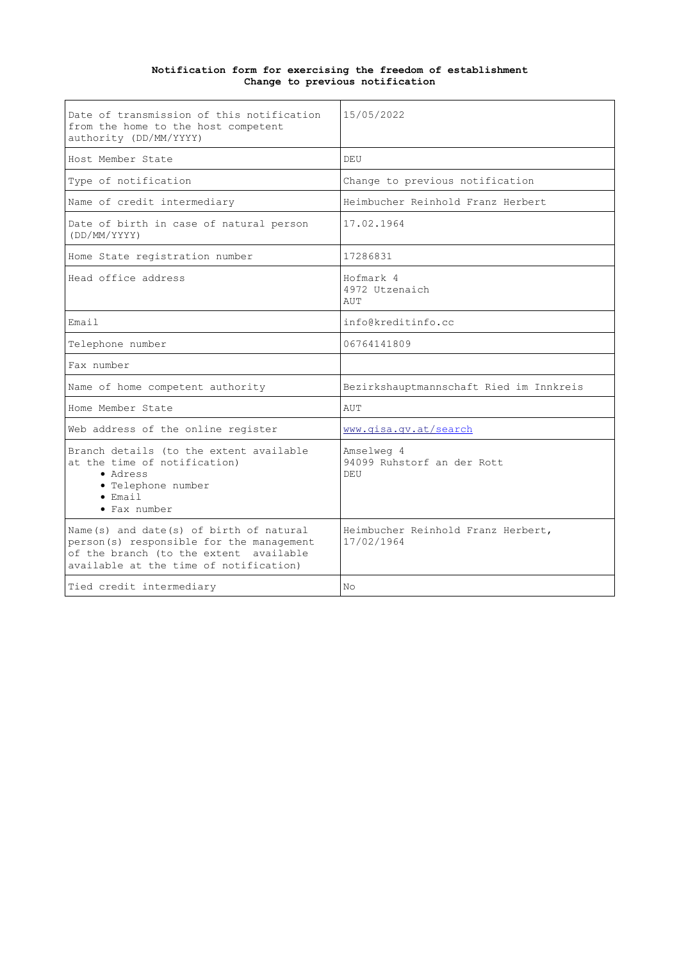#### **Notification form for exercising the freedom of establishment Change to previous notification**

| Date of transmission of this notification<br>from the home to the host competent<br>authority (DD/MM/YYYY)                                                              | 15/05/2022                                       |
|-------------------------------------------------------------------------------------------------------------------------------------------------------------------------|--------------------------------------------------|
| Host Member State                                                                                                                                                       | DEU                                              |
| Type of notification                                                                                                                                                    | Change to previous notification                  |
| Name of credit intermediary                                                                                                                                             | Heimbucher Reinhold Franz Herbert                |
| Date of birth in case of natural person<br>(DD/MM/YYYY)                                                                                                                 | 17.02.1964                                       |
| Home State registration number                                                                                                                                          | 17286831                                         |
| Head office address                                                                                                                                                     | Hofmark 4<br>4972 Utzenaich<br>AUT               |
| Email                                                                                                                                                                   | info@kreditinfo.cc                               |
| Telephone number                                                                                                                                                        | 06764141809                                      |
| Fax number                                                                                                                                                              |                                                  |
| Name of home competent authority                                                                                                                                        | Bezirkshauptmannschaft Ried im Innkreis          |
| Home Member State                                                                                                                                                       | AUT                                              |
| Web address of the online register                                                                                                                                      | www.gisa.gv.at/search                            |
| Branch details (to the extent available<br>at the time of notification)<br>• Adress<br>· Telephone number<br>$\bullet$ Email<br>• Fax number                            | Amselweg 4<br>94099 Ruhstorf an der Rott<br>DEII |
| Name(s) and date(s) of birth of natural<br>person(s) responsible for the management<br>of the branch (to the extent available<br>available at the time of notification) | Heimbucher Reinhold Franz Herbert,<br>17/02/1964 |
| Tied credit intermediary                                                                                                                                                | No                                               |